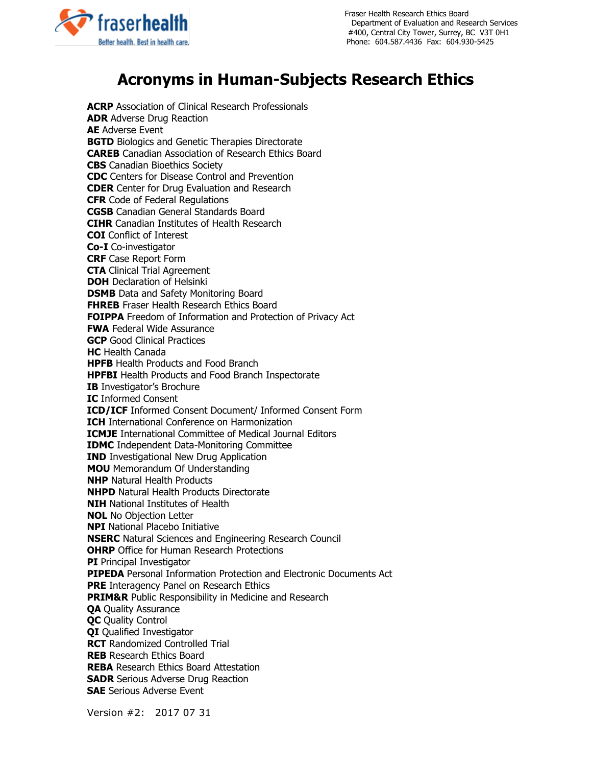

 Fraser Health Research Ethics Board Department of Evaluation and Research Services #400, Central City Tower, Surrey, BC V3T 0H1 Phone: 604.587.4436 Fax: 604.930-5425

## **Acronyms in Human-Subjects Research Ethics**

**ACRP** Association of Clinical Research Professionals **ADR** Adverse Drug Reaction **AE** Adverse Event **BGTD** Biologics and Genetic Therapies Directorate **CAREB** Canadian Association of Research Ethics Board **CBS** Canadian Bioethics Society **CDC** Centers for Disease Control and Prevention **CDER** Center for Drug Evaluation and Research **CFR** Code of Federal Regulations **CGSB** Canadian General Standards Board **CIHR** Canadian Institutes of Health Research **COI** Conflict of Interest **Co-I** Co-investigator **CRF** Case Report Form **CTA** Clinical Trial Agreement **DOH** Declaration of Helsinki **DSMB** Data and Safety Monitoring Board **FHREB** Fraser Health Research Ethics Board **FOIPPA** Freedom of Information and Protection of Privacy Act **FWA** Federal Wide Assurance **GCP** Good Clinical Practices **HC** Health Canada **HPFB** Health Products and Food Branch **HPFBI** Health Products and Food Branch Inspectorate **IB** Investigator's Brochure **IC** Informed Consent **ICD/ICF** Informed Consent Document/ Informed Consent Form **ICH** International Conference on Harmonization **ICMJE** International Committee of Medical Journal Editors **IDMC** Independent Data-Monitoring Committee **IND** Investigational New Drug Application **MOU** Memorandum Of Understanding **NHP** Natural Health Products **NHPD** Natural Health Products Directorate **NIH** National Institutes of Health **NOL** No Objection Letter **NPI** National Placebo Initiative **NSERC** Natural Sciences and Engineering Research Council **OHRP** Office for Human Research Protections **PI** Principal Investigator **PIPEDA** Personal Information Protection and Electronic Documents Act **PRE** Interagency Panel on Research Ethics **PRIM&R** Public Responsibility in Medicine and Research **QA** Quality Assurance **QC** Quality Control **QI** Qualified Investigator **RCT** Randomized Controlled Trial **REB** Research Ethics Board **REBA** Research Ethics Board Attestation **SADR** Serious Adverse Drug Reaction **SAE** Serious Adverse Event

Version #2: 2017 07 31